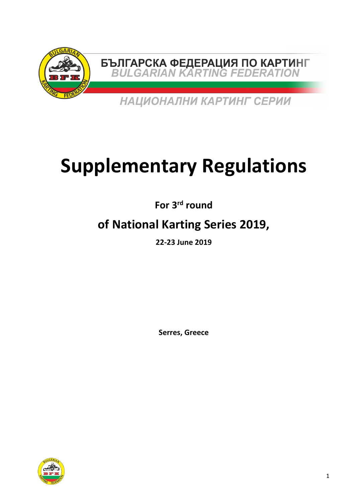

# **Supplementary Regulations**

**For 3rd round** 

## **of National Karting Series 2019,**

**22‐23 June 2019** 

**Serres, Greece** 

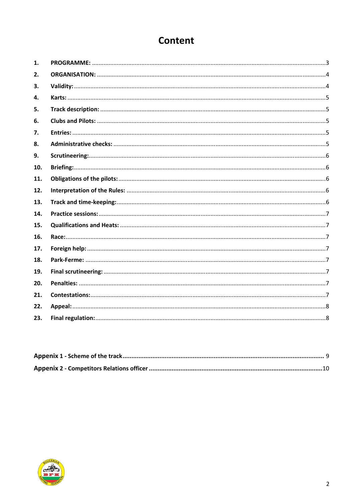### **Content**

| 1.  |  |
|-----|--|
| 2.  |  |
| 3.  |  |
| 4.  |  |
| 5.  |  |
| 6.  |  |
| 7.  |  |
| 8.  |  |
| 9.  |  |
| 10. |  |
| 11. |  |
| 12. |  |
| 13. |  |
| 14. |  |
| 15. |  |
| 16. |  |
| 17. |  |
| 18. |  |
| 19. |  |
| 20. |  |
| 21. |  |
| 22. |  |
| 23. |  |

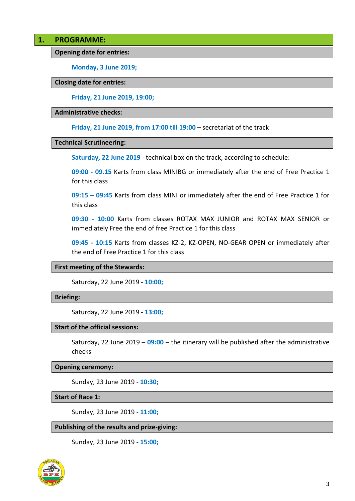#### **1. PROGRAMME:**

**Opening date for entries:** 

**Monday, 3 June 2019;** 

#### **Closing date for entries:**

**Friday, 21 June 2019, 19:00;**

#### **Administrative checks:**

**Friday, 21 June 2019, from 17:00 till 19:00** – secretariat of the track

#### **Technical Scrutineering:**

**Saturday, 22 June 2019** ‐ technical box on the track, according to schedule:

**09:00 ‐ 09.15** Karts from class MINIBG or immediately after the end of Free Practice 1 for this class

**09:15 – 09:45** Karts from class MINI or immediately after the end of Free Practice 1 for this class

**09:30 ‐ 10:00**  Karts from classes ROTAX MAX JUNIOR and ROTAX MAX SENIOR or immediately Free the end of free Practice 1 for this class

**09:45 ‐ 10:15**  Karts from classes KZ‐2, KZ‐OPEN, NO‐GEAR OPEN or immediately after the end of Free Practice 1 for this class

#### **First meeting of the Stewards:**

Saturday, 22 June 2019 ‐ **10:00;**

#### **Briefing:**

Saturday, 22 June 2019 ‐ **13:00;**

#### **Start of the official sessions:**

Saturday, 22 June 2019 – **09:00** – the itinerary will be published after the administrative checks

#### **Opening ceremony:**

Sunday, 23 June 2019 ‐ **10:30;**

**Start of Race 1:** 

Sunday, 23 June 2019 ‐ **11:00;**

#### **Publishing of the results and prize‐giving:**

Sunday, 23 June 2019 ‐ **15:00;**

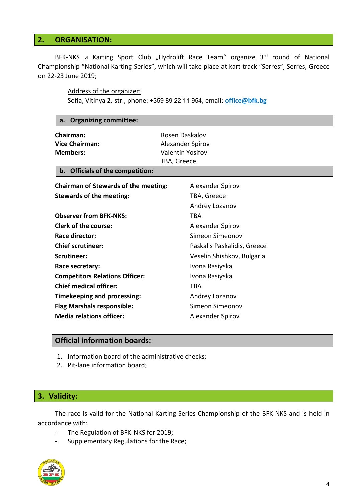#### **2. ORGANISATION:**

BFK-NKS u Karting Sport Club "Hydrolift Race Team" organize 3<sup>rd</sup> round of National Championship "National Karting Series", which will take place at kart track "Serres", Serres, Greece on 22‐23 June 2019;

Address of the organizer:

Sofia, Vitinya 2J str., phone: +359 89 22 11 954, email: **office@bfk.bg**

| <b>Organizing committee:</b><br>a.                                                                         |                                                                              |  |  |
|------------------------------------------------------------------------------------------------------------|------------------------------------------------------------------------------|--|--|
| <b>Chairman:</b><br><b>Vice Chairman:</b><br><b>Members:</b><br><b>Officials of the competition:</b><br>b. | Rosen Daskalov<br>Alexander Spirov<br><b>Valentin Yosifov</b><br>TBA, Greece |  |  |
| <b>Chairman of Stewards of the meeting:</b>                                                                | Alexander Spirov                                                             |  |  |
| <b>Stewards of the meeting:</b>                                                                            | TBA, Greece                                                                  |  |  |
|                                                                                                            | Andrey Lozanov                                                               |  |  |
| <b>Observer from BFK-NKS:</b>                                                                              | <b>TBA</b>                                                                   |  |  |
| <b>Clerk of the course:</b>                                                                                | Alexander Spirov                                                             |  |  |
| Race director:                                                                                             | Simeon Simeonov                                                              |  |  |
| <b>Chief scrutineer:</b>                                                                                   | Paskalis Paskalidis, Greece                                                  |  |  |
| Scrutineer:                                                                                                | Veselin Shishkov, Bulgaria                                                   |  |  |
| Race secretary:                                                                                            | Ivona Rasiyska                                                               |  |  |
| <b>Competitors Relations Officer:</b>                                                                      | Ivona Rasiyska                                                               |  |  |
| <b>Chief medical officer:</b>                                                                              | <b>TBA</b>                                                                   |  |  |
| <b>Timekeeping and processing:</b>                                                                         | Andrey Lozanov                                                               |  |  |
| <b>Flag Marshals responsible:</b>                                                                          | Simeon Simeonov                                                              |  |  |
| <b>Media relations officer:</b>                                                                            | Alexander Spirov                                                             |  |  |
|                                                                                                            |                                                                              |  |  |

#### **Official information boards:**

- 1. Information board of the administrative checks;
- 2. Pit‐lane information board;

#### **3. Validity:**

The race is valid for the National Karting Series Championship of the BFK‐NKS and is held in accordance with:

- ‐ The Regulation of BFK‐NKS for 2019;
- ‐ Supplementary Regulations for the Race;

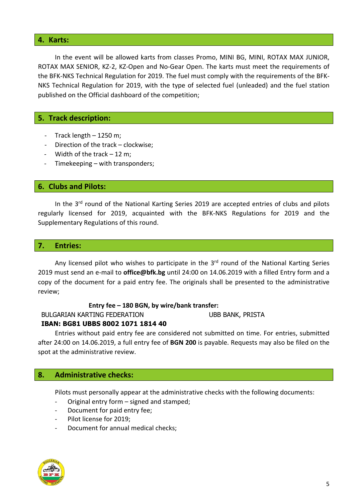#### **4. Karts:**

In the event will be allowed karts from classes Promo, MINI BG, MINI, ROTAX MAX JUNIOR, ROTAX MAX SENIOR, KZ‐2, KZ‐Open and No‐Gear Open. The karts must meet the requirements of the BFK‐NKS Technical Regulation for 2019. The fuel must comply with the requirements of the BFK‐ NKS Technical Regulation for 2019, with the type of selected fuel (unleaded) and the fuel station published on the Official dashboard of the competition;

#### **5. Track description:**

- ‐ Track length 1250 m;
- ‐ Direction of the track clockwise;
- ‐ Width of the track 12 m;
- ‐ Timekeeping with transponders;

#### **6. Clubs and Pilots:**

In the 3<sup>rd</sup> round of the National Karting Series 2019 are accepted entries of clubs and pilots regularly licensed for 2019, acquainted with the BFK‐NKS Regulations for 2019 and the Supplementary Regulations of this round.

#### **7. Entries:**

Any licensed pilot who wishes to participate in the 3<sup>rd</sup> round of the National Karting Series 2019 must send an e‐mail to **office@bfk.bg** until 24:00 on 14.06.2019 with a filled Entry form and a copy of the document for a paid entry fee. The originals shall be presented to the administrative review;

#### **Entry fee – 180 BGN, by wire/bank transfer:**

#### BULGARIAN KARTING FEDERATION UBB BANK, PRISTA

#### **IBAN: BG81 UBBS 8002 1071 1814 40**

Entries without paid entry fee are considered not submitted on time. For entries, submitted after 24:00 on 14.06.2019, a full entry fee of **BGN 200** is payable. Requests may also be filed on the spot at the administrative review.

#### **8. Administrative checks:**

Pilots must personally appear at the administrative checks with the following documents:

- ‐ Original entry form signed and stamped;
- ‐ Document for paid entry fee;
- ‐ Pilot license for 2019;
- ‐ Document for annual medical checks;

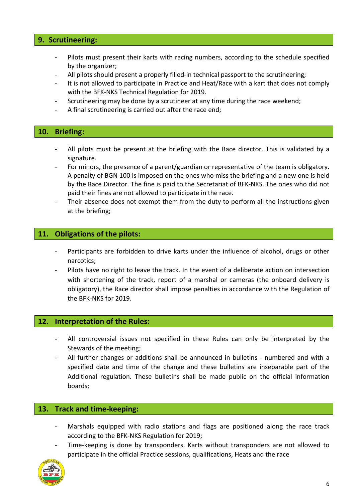#### **9. Scrutineering:**

- Pilots must present their karts with racing numbers, according to the schedule specified by the organizer;
- All pilots should present a properly filled-in technical passport to the scrutineering;
- It is not allowed to participate in Practice and Heat/Race with a kart that does not comply with the BFK‐NKS Technical Regulation for 2019.
- Scrutineering may be done by a scrutineer at any time during the race weekend;
- ‐ A final scrutineering is carried out after the race end;

#### **10. Briefing:**

- All pilots must be present at the briefing with the Race director. This is validated by a signature.
- ‐ For minors, the presence of a parent/guardian or representative of the team is obligatory. A penalty of BGN 100 is imposed on the ones who miss the briefing and a new one is held by the Race Director. The fine is paid to the Secretariat of BFK‐NKS. The ones who did not paid their fines are not allowed to participate in the race.
- Their absence does not exempt them from the duty to perform all the instructions given at the briefing;

#### **11. Obligations of the pilots:**

- Participants are forbidden to drive karts under the influence of alcohol, drugs or other narcotics;
- ‐ Pilots have no right to leave the track. In the event of a deliberate action on intersection with shortening of the track, report of a marshal or cameras (the onboard delivery is obligatory), the Race director shall impose penalties in accordance with the Regulation of the BFK‐NKS for 2019.

#### **12. Interpretation of the Rules:**

- All controversial issues not specified in these Rules can only be interpreted by the Stewards of the meeting;
- All further changes or additions shall be announced in bulletins numbered and with a specified date and time of the change and these bulletins are inseparable part of the Additional regulation. These bulletins shall be made public on the official information boards;

#### **13. Track and time‐keeping:**

- Marshals equipped with radio stations and flags are positioned along the race track according to the BFK‐NKS Regulation for 2019;
- Time-keeping is done by transponders. Karts without transponders are not allowed to participate in the official Practice sessions, qualifications, Heats and the race

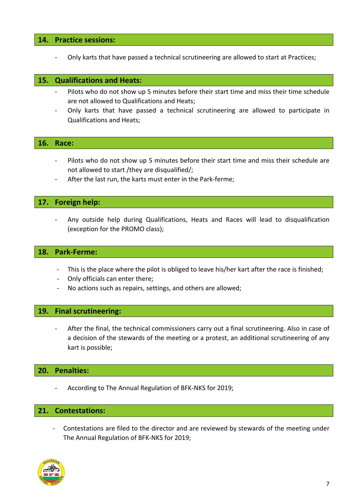#### **14. Practice sessions:**

‐ Only karts that have passed a technical scrutineering are allowed to start at Practices;

#### **15. Qualifications and Heats:**

- Pilots who do not show up 5 minutes before their start time and miss their time schedule are not allowed to Qualifications and Heats;
- ‐ Only karts that have passed a technical scrutineering are allowed to participate in Qualifications and Heats;

#### **16. Race:**

- Pilots who do not show up 5 minutes before their start time and miss their schedule are not allowed to start /they are disqualified/;
- After the last run, the karts must enter in the Park-ferme;

#### **17. Foreign help:**

‐ Any outside help during Qualifications, Heats and Races will lead to disqualification (exception for the PROMO class);

#### **18. Park‐Ferme:**

- This is the place where the pilot is obliged to leave his/her kart after the race is finished;
- ‐ Only officials can enter there;
- No actions such as repairs, settings, and others are allowed;

#### **19. Final scrutineering:**

After the final, the technical commissioners carry out a final scrutineering. Also in case of a decision of the stewards of the meeting or a protest, an additional scrutineering of any kart is possible;

#### **20. Penalties:**

‐ According to The Annual Regulation of BFK‐NKS for 2019;

#### **21. Contestations:**

‐ Contestations are filed to the director and are reviewed by stewards of the meeting under The Annual Regulation of BFK‐NKS for 2019;

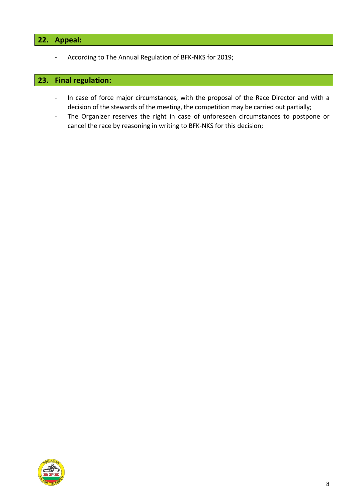#### **22. Appeal:**

‐ According to The Annual Regulation of BFK‐NKS for 2019;

#### **23. Final regulation:**

- ‐ In case of force major circumstances, with the proposal of the Race Director and with a decision of the stewards of the meeting, the competition may be carried out partially;
- ‐ The Organizer reserves the right in case of unforeseen circumstances to postpone or cancel the race by reasoning in writing to BFK‐NKS for this decision;

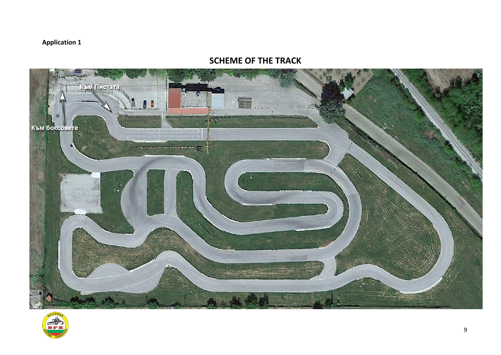#### **Application 1**

#### **SCHEME OF THE TRACK**